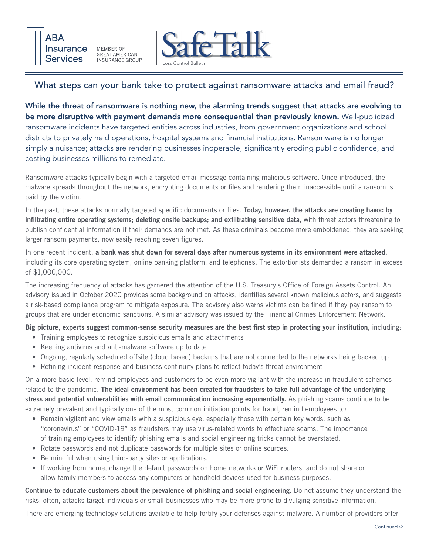



## What steps can your bank take to protect against ransomware attacks and email fraud?

While the threat of ransomware is nothing new, the alarming trends suggest that attacks are evolving to be more disruptive with payment demands more consequential than previously known. Well-publicized ransomware incidents have targeted entities across industries, from government organizations and school districts to privately held operations, hospital systems and financial institutions. Ransomware is no longer simply a nuisance; attacks are rendering businesses inoperable, significantly eroding public confidence, and costing businesses millions to remediate.

Ransomware attacks typically begin with a targeted email message containing malicious software. Once introduced, the malware spreads throughout the network, encrypting documents or files and rendering them inaccessible until a ransom is paid by the victim.

In the past, these attacks normally targeted specific documents or files. Today, however, the attacks are creating havoc by infiltrating entire operating systems; deleting onsite backups; and exfiltrating sensitive data, with threat actors threatening to publish confidential information if their demands are not met. As these criminals become more emboldened, they are seeking larger ransom payments, now easily reaching seven figures.

In one recent incident, a bank was shut down for several days after numerous systems in its environment were attacked, including its core operating system, online banking platform, and telephones. The extortionists demanded a ransom in excess of \$1,000,000.

The increasing frequency of attacks has garnered the attention of the U.S. Treasury's Office of Foreign Assets Control. An advisory issued in October 2020 provides some background on attacks, identifies several known malicious actors, and suggests a risk-based compliance program to mitigate exposure. The advisory also warns victims can be fined if they pay ransom to groups that are under economic sanctions. A similar advisory was issued by the Financial Crimes Enforcement Network.

Big picture, experts suggest common-sense security measures are the best first step in protecting your institution, including:

- Training employees to recognize suspicious emails and attachments
- Keeping antivirus and anti-malware software up to date
- Ongoing, regularly scheduled offsite (cloud based) backups that are not connected to the networks being backed up
- Refining incident response and business continuity plans to reflect today's threat environment

On a more basic level, remind employees and customers to be even more vigilant with the increase in fraudulent schemes related to the pandemic. The ideal environment has been created for fraudsters to take full advantage of the underlying stress and potential vulnerabilities with email communication increasing exponentially. As phishing scams continue to be extremely prevalent and typically one of the most common initiation points for fraud, remind employees to:

- Remain vigilant and view emails with a suspicious eye, especially those with certain key words, such as "coronavirus" or "COVID-19" as fraudsters may use virus-related words to effectuate scams. The importance of training employees to identify phishing emails and social engineering tricks cannot be overstated.
- Rotate passwords and not duplicate passwords for multiple sites or online sources.
- Be mindful when using third-party sites or applications.
- If working from home, change the default passwords on home networks or WiFi routers, and do not share or allow family members to access any computers or handheld devices used for business purposes.

Continue to educate customers about the prevalence of phishing and social engineering. Do not assume they understand the risks; often, attacks target individuals or small businesses who may be more prone to divulging sensitive information.

There are emerging technology solutions available to help fortify your defenses against malware. A number of providers offer